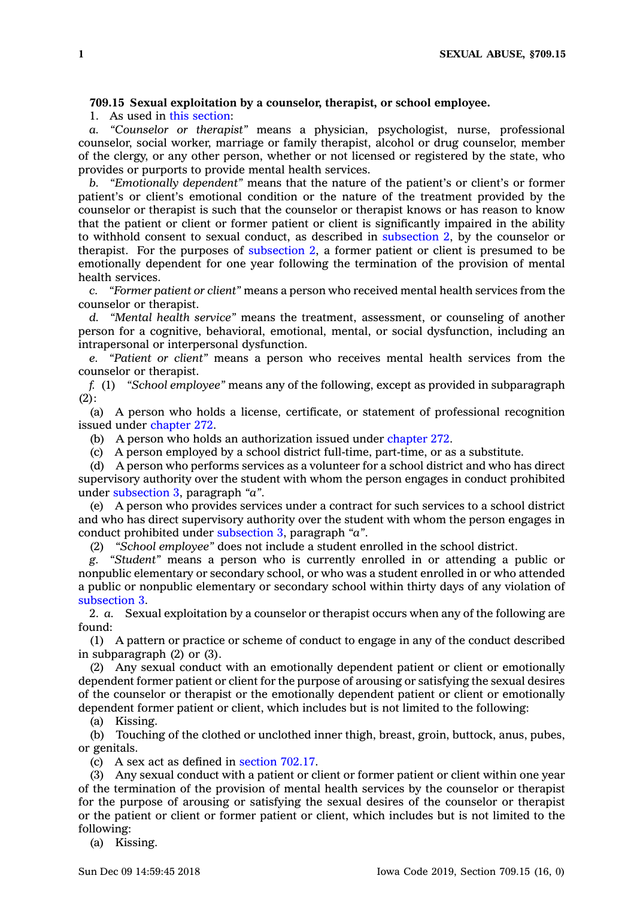## **709.15 Sexual exploitation by <sup>a</sup> counselor, therapist, or school employee.**

1. As used in this [section](https://www.legis.iowa.gov/docs/code/709.15.pdf):

*a. "Counselor or therapist"* means <sup>a</sup> physician, psychologist, nurse, professional counselor, social worker, marriage or family therapist, alcohol or drug counselor, member of the clergy, or any other person, whether or not licensed or registered by the state, who provides or purports to provide mental health services.

*b. "Emotionally dependent"* means that the nature of the patient's or client's or former patient's or client's emotional condition or the nature of the treatment provided by the counselor or therapist is such that the counselor or therapist knows or has reason to know that the patient or client or former patient or client is significantly impaired in the ability to withhold consent to sexual conduct, as described in [subsection](https://www.legis.iowa.gov/docs/code/709.15.pdf) 2, by the counselor or therapist. For the purposes of [subsection](https://www.legis.iowa.gov/docs/code/709.15.pdf) 2, <sup>a</sup> former patient or client is presumed to be emotionally dependent for one year following the termination of the provision of mental health services.

*c. "Former patient or client"* means <sup>a</sup> person who received mental health services from the counselor or therapist.

*d. "Mental health service"* means the treatment, assessment, or counseling of another person for <sup>a</sup> cognitive, behavioral, emotional, mental, or social dysfunction, including an intrapersonal or interpersonal dysfunction.

*e. "Patient or client"* means <sup>a</sup> person who receives mental health services from the counselor or therapist.

*f.* (1) *"School employee"* means any of the following, except as provided in subparagraph  $(2)$ :

(a) A person who holds <sup>a</sup> license, certificate, or statement of professional recognition issued under [chapter](https://www.legis.iowa.gov/docs/code//272.pdf) 272.

(b) A person who holds an authorization issued under [chapter](https://www.legis.iowa.gov/docs/code//272.pdf) 272.

(c) A person employed by <sup>a</sup> school district full-time, part-time, or as <sup>a</sup> substitute.

(d) A person who performs services as <sup>a</sup> volunteer for <sup>a</sup> school district and who has direct supervisory authority over the student with whom the person engages in conduct prohibited under [subsection](https://www.legis.iowa.gov/docs/code/709.15.pdf) 3, paragraph *"a"*.

(e) A person who provides services under <sup>a</sup> contract for such services to <sup>a</sup> school district and who has direct supervisory authority over the student with whom the person engages in conduct prohibited under [subsection](https://www.legis.iowa.gov/docs/code/709.15.pdf) 3, paragraph *"a"*.

(2) *"School employee"* does not include <sup>a</sup> student enrolled in the school district.

*g. "Student"* means <sup>a</sup> person who is currently enrolled in or attending <sup>a</sup> public or nonpublic elementary or secondary school, or who was <sup>a</sup> student enrolled in or who attended <sup>a</sup> public or nonpublic elementary or secondary school within thirty days of any violation of [subsection](https://www.legis.iowa.gov/docs/code/709.15.pdf) 3.

2. *a.* Sexual exploitation by <sup>a</sup> counselor or therapist occurs when any of the following are found:

(1) A pattern or practice or scheme of conduct to engage in any of the conduct described in subparagraph (2) or (3).

(2) Any sexual conduct with an emotionally dependent patient or client or emotionally dependent former patient or client for the purpose of arousing or satisfying the sexual desires of the counselor or therapist or the emotionally dependent patient or client or emotionally dependent former patient or client, which includes but is not limited to the following:

(a) Kissing.

(b) Touching of the clothed or unclothed inner thigh, breast, groin, buttock, anus, pubes, or genitals.

(c) A sex act as defined in [section](https://www.legis.iowa.gov/docs/code/702.17.pdf) 702.17.

(3) Any sexual conduct with <sup>a</sup> patient or client or former patient or client within one year of the termination of the provision of mental health services by the counselor or therapist for the purpose of arousing or satisfying the sexual desires of the counselor or therapist or the patient or client or former patient or client, which includes but is not limited to the following:

(a) Kissing.